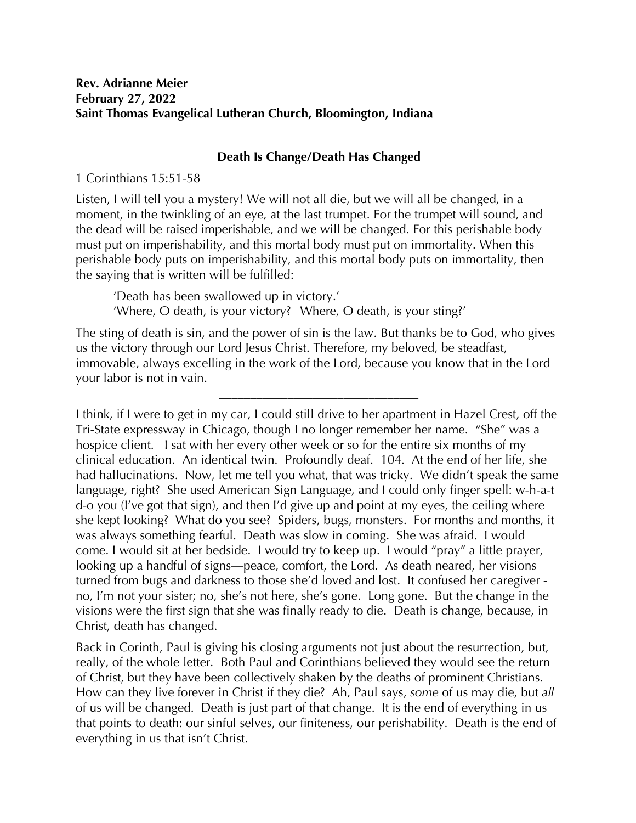## **Rev. Adrianne Meier February 27, 2022 Saint Thomas Evangelical Lutheran Church, Bloomington, Indiana**

## **Death Is Change/Death Has Changed**

1 Corinthians 15:51-58

Listen, I will tell you a mystery! We will not all die, but we will all be changed, in a moment, in the twinkling of an eye, at the last trumpet. For the trumpet will sound, and the dead will be raised imperishable, and we will be changed. For this perishable body must put on imperishability, and this mortal body must put on immortality. When this perishable body puts on imperishability, and this mortal body puts on immortality, then the saying that is written will be fulfilled:

'Death has been swallowed up in victory.' 'Where, O death, is your victory? Where, O death, is your sting?'

The sting of death is sin, and the power of sin is the law. But thanks be to God, who gives us the victory through our Lord Jesus Christ. Therefore, my beloved, be steadfast, immovable, always excelling in the work of the Lord, because you know that in the Lord your labor is not in vain.

\_\_\_\_\_\_\_\_\_\_\_\_\_\_\_\_\_\_\_\_\_\_\_\_\_\_\_\_\_\_\_\_

I think, if I were to get in my car, I could still drive to her apartment in Hazel Crest, off the Tri-State expressway in Chicago, though I no longer remember her name. "She" was a hospice client. I sat with her every other week or so for the entire six months of my clinical education. An identical twin. Profoundly deaf. 104. At the end of her life, she had hallucinations. Now, let me tell you what, that was tricky. We didn't speak the same language, right? She used American Sign Language, and I could only finger spell: w-h-a-t d-o you (I've got that sign), and then I'd give up and point at my eyes, the ceiling where she kept looking? What do you see? Spiders, bugs, monsters. For months and months, it was always something fearful. Death was slow in coming. She was afraid. I would come. I would sit at her bedside. I would try to keep up. I would "pray" a little prayer, looking up a handful of signs—peace, comfort, the Lord. As death neared, her visions turned from bugs and darkness to those she'd loved and lost. It confused her caregiver no, I'm not your sister; no, she's not here, she's gone. Long gone. But the change in the visions were the first sign that she was finally ready to die. Death is change, because, in Christ, death has changed.

Back in Corinth, Paul is giving his closing arguments not just about the resurrection, but, really, of the whole letter. Both Paul and Corinthians believed they would see the return of Christ, but they have been collectively shaken by the deaths of prominent Christians. How can they live forever in Christ if they die? Ah, Paul says, *some* of us may die, but *all* of us will be changed. Death is just part of that change. It is the end of everything in us that points to death: our sinful selves, our finiteness, our perishability. Death is the end of everything in us that isn't Christ.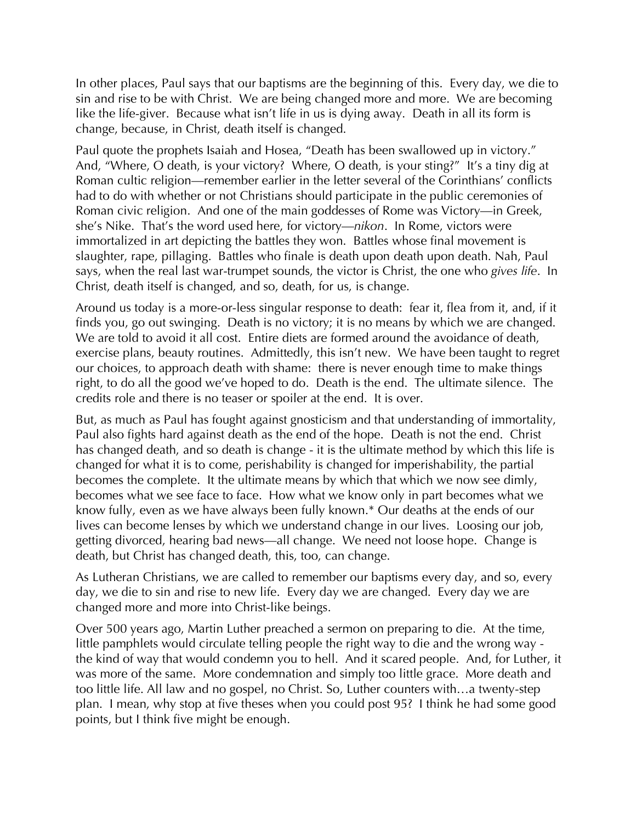In other places, Paul says that our baptisms are the beginning of this. Every day, we die to sin and rise to be with Christ. We are being changed more and more. We are becoming like the life-giver. Because what isn't life in us is dying away. Death in all its form is change, because, in Christ, death itself is changed.

Paul quote the prophets Isaiah and Hosea, "Death has been swallowed up in victory." And, "Where, O death, is your victory? Where, O death, is your sting?" It's a tiny dig at Roman cultic religion—remember earlier in the letter several of the Corinthians' conflicts had to do with whether or not Christians should participate in the public ceremonies of Roman civic religion. And one of the main goddesses of Rome was Victory—in Greek, she's Nike. That's the word used here, for victory—*nikon*. In Rome, victors were immortalized in art depicting the battles they won. Battles whose final movement is slaughter, rape, pillaging. Battles who finale is death upon death upon death. Nah, Paul says, when the real last war-trumpet sounds, the victor is Christ, the one who *gives life*. In Christ, death itself is changed, and so, death, for us, is change.

Around us today is a more-or-less singular response to death: fear it, flea from it, and, if it finds you, go out swinging. Death is no victory; it is no means by which we are changed. We are told to avoid it all cost. Entire diets are formed around the avoidance of death, exercise plans, beauty routines. Admittedly, this isn't new. We have been taught to regret our choices, to approach death with shame: there is never enough time to make things right, to do all the good we've hoped to do. Death is the end. The ultimate silence. The credits role and there is no teaser or spoiler at the end. It is over.

But, as much as Paul has fought against gnosticism and that understanding of immortality, Paul also fights hard against death as the end of the hope. Death is not the end. Christ has changed death, and so death is change - it is the ultimate method by which this life is changed for what it is to come, perishability is changed for imperishability, the partial becomes the complete. It the ultimate means by which that which we now see dimly, becomes what we see face to face. How what we know only in part becomes what we know fully, even as we have always been fully known.\* Our deaths at the ends of our lives can become lenses by which we understand change in our lives. Loosing our job, getting divorced, hearing bad news—all change. We need not loose hope. Change is death, but Christ has changed death, this, too, can change.

As Lutheran Christians, we are called to remember our baptisms every day, and so, every day, we die to sin and rise to new life. Every day we are changed. Every day we are changed more and more into Christ-like beings.

Over 500 years ago, Martin Luther preached a sermon on preparing to die. At the time, little pamphlets would circulate telling people the right way to die and the wrong way the kind of way that would condemn you to hell. And it scared people. And, for Luther, it was more of the same. More condemnation and simply too little grace. More death and too little life. All law and no gospel, no Christ. So, Luther counters with…a twenty-step plan. I mean, why stop at five theses when you could post 95? I think he had some good points, but I think five might be enough.